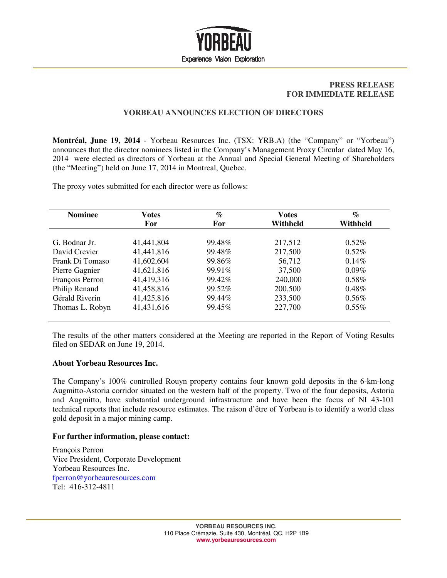

## **PRESS RELEASE FOR IMMEDIATE RELEASE**

## **YORBEAU ANNOUNCES ELECTION OF DIRECTORS**

**Montréal, June 19, 2014** - Yorbeau Resources Inc. (TSX: YRB.A) (the "Company" or "Yorbeau") announces that the director nominees listed in the Company's Management Proxy Circular dated May 16, 2014 were elected as directors of Yorbeau at the Annual and Special General Meeting of Shareholders (the "Meeting") held on June 17, 2014 in Montreal, Quebec.

The proxy votes submitted for each director were as follows:

| <b>Nominee</b>  | <b>Votes</b> | $\%$   | <b>Votes</b> | $\%$     |
|-----------------|--------------|--------|--------------|----------|
|                 | For          | For    | Withheld     | Withheld |
|                 |              |        |              |          |
| G. Bodnar Jr.   | 41,441,804   | 99.48% | 217,512      | $0.52\%$ |
| David Crevier   | 41,441,816   | 99.48% | 217,500      | $0.52\%$ |
| Frank Di Tomaso | 41,602,604   | 99.86% | 56,712       | $0.14\%$ |
| Pierre Gagnier  | 41,621,816   | 99.91% | 37,500       | $0.09\%$ |
| François Perron | 41,419,316   | 99.42% | 240,000      | $0.58\%$ |
| Philip Renaud   | 41,458,816   | 99.52% | 200,500      | $0.48\%$ |
| Gérald Riverin  | 41,425,816   | 99.44% | 233,500      | $0.56\%$ |
| Thomas L. Robyn | 41,431,616   | 99.45% | 227,700      | $0.55\%$ |
|                 |              |        |              |          |

The results of the other matters considered at the Meeting are reported in the Report of Voting Results filed on SEDAR on June 19, 2014.

## **About Yorbeau Resources Inc.**

The Company's 100% controlled Rouyn property contains four known gold deposits in the 6-km-long Augmitto-Astoria corridor situated on the western half of the property. Two of the four deposits, Astoria and Augmitto, have substantial underground infrastructure and have been the focus of NI 43-101 technical reports that include resource estimates. The raison d'être of Yorbeau is to identify a world class gold deposit in a major mining camp.

## **For further information, please contact:**

François Perron Vice President, Corporate Development Yorbeau Resources Inc. fperron@yorbeauresources.com Tel: 416-312-4811